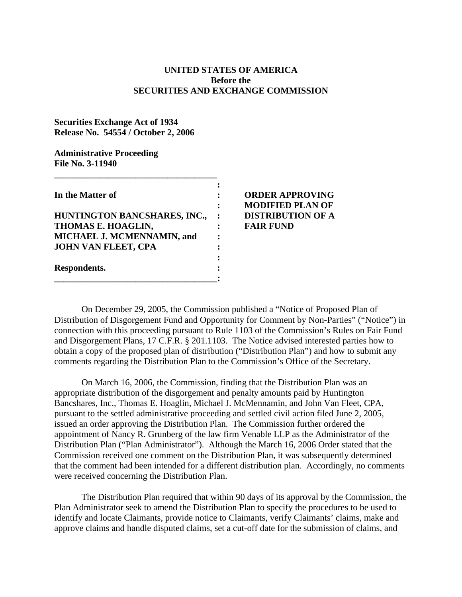## **UNITED STATES OF AMERICA Before the SECURITIES AND EXCHANGE COMMISSION**

## **Securities Exchange Act of 1934 Release No. 54554 / October 2, 2006**

## **Administrative Proceeding File No. 3-11940**

| In the Matter of             |  |
|------------------------------|--|
|                              |  |
| HUNTINGTON BANCSHARES, INC., |  |
| THOMAS E. HOAGLIN,           |  |
| MICHAEL J. MCMENNAMIN, and   |  |
| <b>JOHN VAN FLEET, CPA</b>   |  |
| Respondents.                 |  |
|                              |  |
|                              |  |

**\_\_\_\_\_\_\_\_\_\_\_\_\_\_\_\_\_\_\_\_\_\_\_\_\_\_\_\_\_\_\_\_\_\_\_\_** 

## **IORDER APPROVING : MODIFIED PLAN OF DISTRIBUTION OF A FAIR FUND**

On December 29, 2005, the Commission published a "Notice of Proposed Plan of Distribution of Disgorgement Fund and Opportunity for Comment by Non-Parties" ("Notice") in connection with this proceeding pursuant to Rule 1103 of the Commission's Rules on Fair Fund and Disgorgement Plans, 17 C.F.R. § 201.1103. The Notice advised interested parties how to obtain a copy of the proposed plan of distribution ("Distribution Plan") and how to submit any comments regarding the Distribution Plan to the Commission's Office of the Secretary.

On March 16, 2006, the Commission, finding that the Distribution Plan was an appropriate distribution of the disgorgement and penalty amounts paid by Huntington Bancshares, Inc., Thomas E. Hoaglin, Michael J. McMennamin, and John Van Fleet, CPA, pursuant to the settled administrative proceeding and settled civil action filed June 2, 2005, issued an order approving the Distribution Plan. The Commission further ordered the appointment of Nancy R. Grunberg of the law firm Venable LLP as the Administrator of the Distribution Plan ("Plan Administrator"). Although the March 16, 2006 Order stated that the Commission received one comment on the Distribution Plan, it was subsequently determined that the comment had been intended for a different distribution plan. Accordingly, no comments were received concerning the Distribution Plan.

The Distribution Plan required that within 90 days of its approval by the Commission, the Plan Administrator seek to amend the Distribution Plan to specify the procedures to be used to identify and locate Claimants, provide notice to Claimants, verify Claimants' claims, make and approve claims and handle disputed claims, set a cut-off date for the submission of claims, and